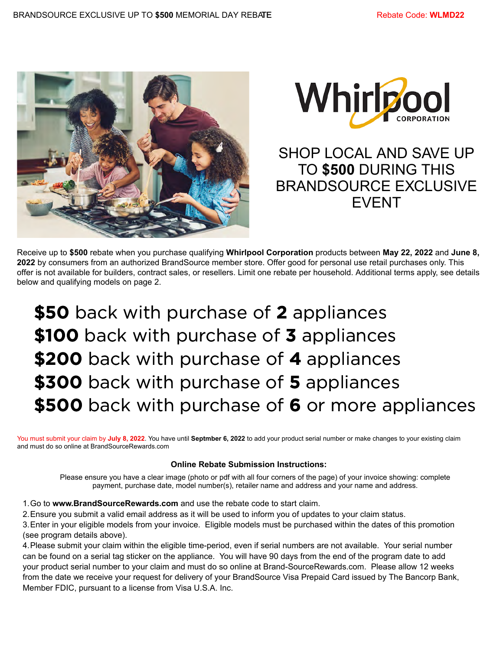



SHOP LOCAL AND SAVE UP TO **\$500** DURING THIS BRANDSOURCE EXCLUSIVE EVENT

Receive up to **\$500** rebate when you purchase qualifying **Whirlpool Corporation** products between **May 22, 2022** and **June 8, 2022** by consumers from an authorized BrandSource member store. Offer good for personal use retail purchases only. This offer is not available for builders, contract sales, or resellers. Limit one rebate per household. Additional terms apply, see details below and qualifying models on page 2.

**\$50** back with purchase of 2 appliances \$100 back with purchase of 3 appliances **\$200** back with purchase of 4 appliances \$300 back with purchase of 5 appliances **\$500** back with purchase of 6 or more appliances

You must submit your claim by **July 8, 2022**. You have until **Septmber 6, 2022** to add your product serial number or make changes to your existing claim and must do so online at BrandSourceRewards.com

## **Online Rebate Submission Instructions:**

Please ensure you have a clear image (photo or pdf with all four corners of the page) of your invoice showing: complete payment, purchase date, model number(s), retailer name and address and your name and address.

1.Go to **www.BrandSourceRewards.com** and use the rebate code to start claim.

2.Ensure you submit a valid email address as it will be used to inform you of updates to your claim status.

3.Enter in your eligible models from your invoice. Eligible models must be purchased within the dates of this promotion (see program details above).

4.Please submit your claim within the eligible time-period, even if serial numbers are not available. Your serial number can be found on a serial tag sticker on the appliance. You will have 90 days from the end of the program date to add your product serial number to your claim and must do so online at Brand-SourceRewards.com. Please allow 12 weeks from the date we receive your request for delivery of your BrandSource Visa Prepaid Card issued by The Bancorp Bank, Member FDIC, pursuant to a license from Visa U.S.A. Inc.